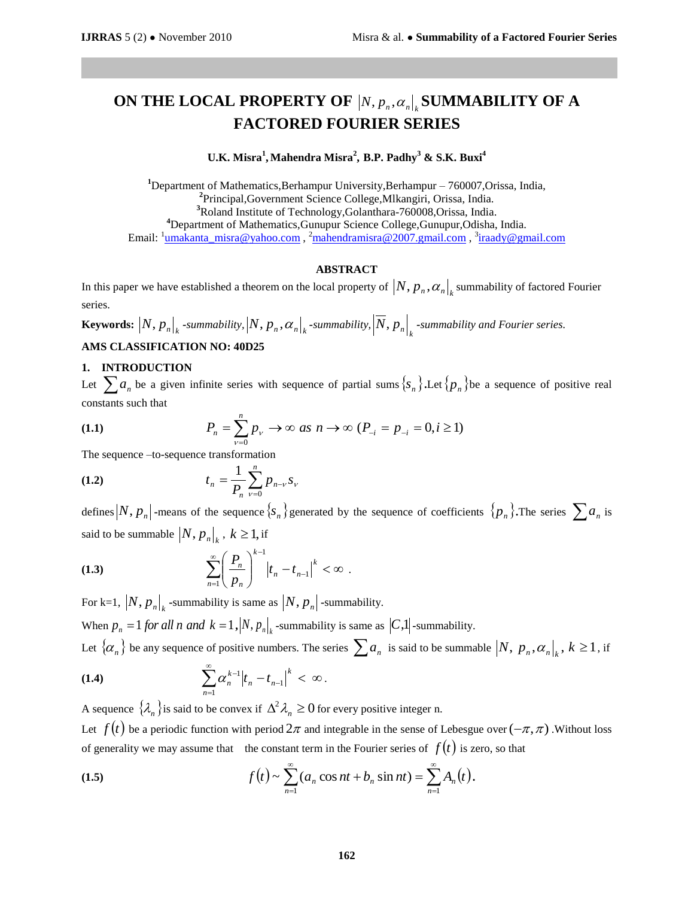# ON THE LOCAL PROPERTY OF  $|N, p_n, \alpha_n|$  SUMMABILITY OF A **FACTORED FOURIER SERIES**

### **U.K. Misra<sup>1</sup> , Mahendra Misra<sup>2</sup> , B.P. Padhy<sup>3</sup> & S.K. Buxi<sup>4</sup>**

Department of Mathematics,Berhampur University,Berhampur – 760007,Orissa, India, Principal,Government Science College,Mlkangiri, Orissa, India. Roland Institute of Technology,Golanthara-760008,Orissa, India. Department of Mathematics,Gunupur Science College,Gunupur,Odisha, India. Email: <sup>1</sup>[umakanta\\_misra@yahoo.com](mailto:umakanta_misra@yahoo.com) , <sup>2</sup>[mahendramisra@2007.gmail.com](mailto:mahendramisra@2007.gmail.com) , <sup>3</sup>[iraady@gmail.com](mailto:iraady@gmail.com)

#### **ABSTRACT**

In this paper we have established a theorem on the local property of  $\big|N, p_{_n}, \alpha_n\big|_k$  summability of factored Fourier series.

**Keywords:**  $|N, p_n|_k$  -summability,  $|N, p_n, \alpha_n|_k$  -summability,  $|N, p_n|_k$  -summability and Fourier series.

# **AMS CLASSIFICATION NO: 40D25**

#### **1. INTRODUCTION**

Let  $\sum a_n$  be a given infinite series with sequence of partial sums  $\{s_n\}$ . Let  $\{p_n\}$  be a sequence of positive real constants such that

(1.1) 
$$
P_n = \sum_{\nu=0}^n p_{\nu} \to \infty \text{ as } n \to \infty \text{ } (P_{-i} = p_{-i} = 0, i \ge 1)
$$

The sequence –to-sequence transformation

(1.2) 
$$
t_n = \frac{1}{P_n} \sum_{\nu=0}^n p_{n-\nu} s_{\nu}
$$

defines  $|N, p_n|$  -means of the sequence  $\{s_n\}$  generated by the sequence of coefficients  $\{p_n\}$ . The series  $\sum a_n$  is said to be summable  $|N, p_n|_{k}$ ,  $k \ge 1$ , if

(1.3) 
$$
\sum_{n=1}^{\infty} \left(\frac{P_n}{p_n}\right)^{k-1} |t_n - t_{n-1}|^k < \infty.
$$

For k=1,  $|N, p_n|_k$  -summability is same as  $|N, p_n|$  -summability.

When  $p_n = 1$  *for all n and*  $k = 1$ ,  $|N, p_n|$ , -summability is same as  $|C,1|$ -summability.

Let  $\{\alpha_n\}$  be any sequence of positive numbers. The series  $\sum a_n$  is said to be summable  $\left|N,\ p_n,\alpha_n\right|_k,\ k\geq 1$ , if ∞

(1.4) 
$$
\sum_{n=1}^{\infty} \alpha_n^{k-1} |t_n - t_{n-1}|^k < \infty.
$$

A sequence  $\{\lambda_n\}$ is said to be convex if  $\Delta^2 \lambda_n \geq 0$  for every positive integer n. Let  $f(t)$  be a periodic function with period  $2\pi$  and integrable in the sense of Lebesgue over  $(-\pi,\pi)$ . Without loss of generality we may assume that the constant term in the Fourier series of  $f(t)$  is zero, so that

(1.5) 
$$
f(t) \sim \sum_{n=1}^{\infty} (a_n \cos nt + b_n \sin nt) = \sum_{n=1}^{\infty} A_n(t).
$$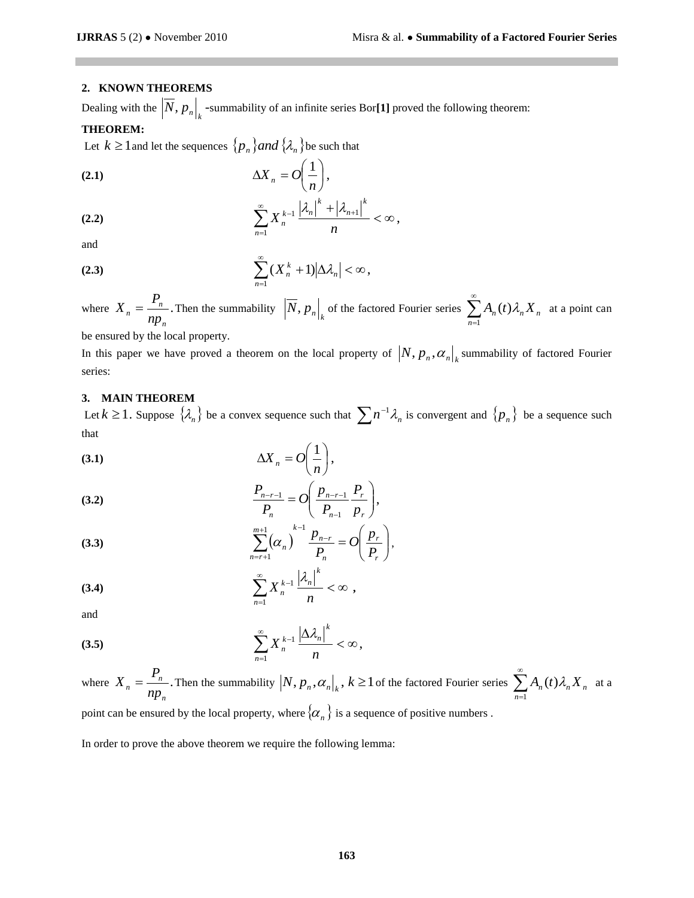## **2. KNOWN THEOREMS**

Dealing with the  $|N, p_n|_k$  -summability of an infinite series Bor[1] proved the following theorem:

#### **THEOREM:**

Let  $k \ge 1$  and let the sequences  $\{p_n\}$  and  $\{\lambda_n\}$  be such that

$$
\Delta X_n = O\bigg(\frac{1}{n}\bigg),\,
$$

(2.2) 
$$
\sum_{n=1}^{\infty} X_n^{k-1} \frac{|\lambda_n|^k + |\lambda_{n+1}|^k}{n} < \infty
$$

and

$$
(2.3) \qquad \sum_{n=1}^{\infty} (X_n^k + 1) |\Delta \lambda_n| < \infty,
$$

where  $X_n = \frac{1}{n}$ . *n n n np*  $X_n = \frac{P_n}{np}$ . Then the summability  $\left| \overline{N}, p_n \right|_k$  of the factored Fourier series  $\sum_{n=1}^{\infty}$  $=1$  $(t)$ *n*  $A_n(t)\lambda_n X_n$  at a point can

,

be ensured by the local property.

In this paper we have proved a theorem on the local property of  $|N, p_n, \alpha_n|$ <sub>k</sub> summability of factored Fourier series:

#### **3. MAIN THEOREM**

Let  $k \ge 1$ . Suppose  $\{\lambda_n\}$  be a convex sequence such that  $\sum n^{-1}\lambda_n$  is convergent and  $\{p_n\}$  be a sequence such that

$$
\Delta X_n = O\bigg(\frac{1}{n}\bigg),\,
$$

(3.2) 
$$
\frac{P_{n-r-1}}{P_n} = O\left(\frac{p_{n-r-1}}{P_{n-1}}\frac{P_r}{p_r}\right),
$$

(3.3) 
$$
\sum_{n=r+1}^{m+1} (\alpha_n)^{k-1} \frac{p_{n-r}}{P_n} = O\left(\frac{p_r}{P_r}\right),
$$

$$
\sum_{n=1}^{\infty} X_n^{k-1} \frac{\left|\lambda_n\right|^k}{n} < \infty ,
$$

and

$$
\sum_{n=1}^{\infty} X_n^{k-1} \frac{\left|\Delta \lambda_n\right|^k}{n} < \infty,
$$

where  $X_n = \frac{1}{n}$ . *n n n np*  $X_n = \frac{P_n}{P_n}$ . Then the summability  $|N, p_n, \alpha_n|_k$ ,  $k \ge 1$  of the factored Fourier series  $\sum_{n=1}^{\infty}$  $=1$  $(t)$ *n*  $A_n(t)\lambda_n X_n$  at a point can be ensured by the local property, where  $\{\alpha_n\}$  is a sequence of positive numbers.

In order to prove the above theorem we require the following lemma: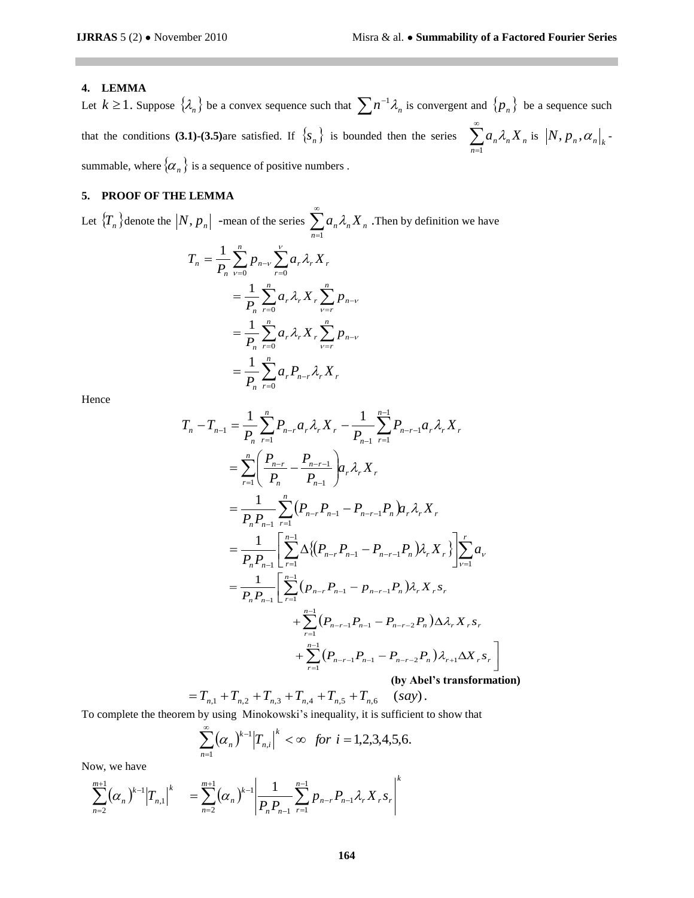# **4. LEMMA**

Let  $k \ge 1$ . Suppose  $\{\lambda_n\}$  be a convex sequence such that  $\sum n^{-1}\lambda_n$  is convergent and  $\{p_n\}$  be a sequence such that the conditions **(3.1)-(3.5)** are satisfied. If  $\{s_n\}$  is bounded then the series  $\sum_{n=1}^{\infty}$ *n*=1  $a_n \lambda_n X_n$  is  $|N, p_n, \alpha_n|_k$ summable, where  $\{\alpha_n\}$  is a sequence of positive numbers .

# **5. PROOF OF THE LEMMA**

Let  $\{T_n\}$  denote the  $|N, p_n|$  -mean of the series  $\sum_{n=1}^{\infty}$ *n*=1  $a_n \lambda_n X_n$ . Then by definition we have

$$
T_{n} = \frac{1}{P_{n}} \sum_{\nu=0}^{n} p_{n-\nu} \sum_{r=0}^{\nu} a_{r} \lambda_{r} X_{r}
$$
  
= 
$$
\frac{1}{P_{n}} \sum_{r=0}^{n} a_{r} \lambda_{r} X_{r} \sum_{\nu=r}^{n} p_{n-\nu}
$$
  
= 
$$
\frac{1}{P_{n}} \sum_{r=0}^{n} a_{r} \lambda_{r} X_{r} \sum_{\nu=r}^{n} p_{n-\nu}
$$
  
= 
$$
\frac{1}{P_{n}} \sum_{r=0}^{n} a_{r} P_{n-r} \lambda_{r} X_{r}
$$

Hence

$$
T_{n} - T_{n-1} = \frac{1}{P_{n}} \sum_{r=1}^{n} P_{n-r} a_{r} \lambda_{r} X_{r} - \frac{1}{P_{n-1}} \sum_{r=1}^{n-1} P_{n-r-1} a_{r} \lambda_{r} X_{r}
$$
  
\n
$$
= \sum_{r=1}^{n} \left( \frac{P_{n-r}}{P_{n}} - \frac{P_{n-r-1}}{P_{n-1}} \right) a_{r} \lambda_{r} X_{r}
$$
  
\n
$$
= \frac{1}{P_{n} P_{n-1}} \sum_{r=1}^{n} (P_{n-r} P_{n-1} - P_{n-r-1} P_{n}) a_{r} \lambda_{r} X_{r}
$$
  
\n
$$
= \frac{1}{P_{n} P_{n-1}} \left[ \sum_{r=1}^{n-1} \Delta \{ (P_{n-r} P_{n-1} - P_{n-r-1} P_{n}) \lambda_{r} X_{r} \} \right] \sum_{v=1}^{r} a_{v}
$$
  
\n
$$
= \frac{1}{P_{n} P_{n-1}} \left[ \sum_{r=1}^{n-1} (p_{n-r} P_{n-1} - p_{n-r-1} P_{n}) \lambda_{r} X_{r} S_{r} + \sum_{r=1}^{n-1} (P_{n-r-1} P_{n-1} - P_{n-r-2} P_{n}) \Delta \lambda_{r} X_{r} S_{r} + \sum_{r=1}^{n-1} (P_{n-r-1} P_{n-1} - P_{n-r-2} P_{n}) \lambda_{r+1} \Delta X_{r} S_{r} \right]
$$
  
\n(by Abel's transformation)

$$
= T_{n,1} + T_{n,2} + T_{n,3} + T_{n,4} + T_{n,5} + T_{n,6} \quad (say).
$$

To complete the theorem by using Minokowski's inequality, it is sufficient to show that

$$
\sum_{n=1}^{\infty} (\alpha_n)^{k-1} |T_{n,i}|^k < \infty \ \ \text{for} \ \ i = 1, 2, 3, 4, 5, 6.
$$

Now, we have

$$
\sum_{n=2}^{m+1} (\alpha_n)^{k-1} |T_{n,1}|^k = \sum_{n=2}^{m+1} (\alpha_n)^{k-1} \left| \frac{1}{P_n P_{n-1}} \sum_{r=1}^{n-1} p_{n-r} P_{n-1} \lambda_r X_r s_r \right|^k
$$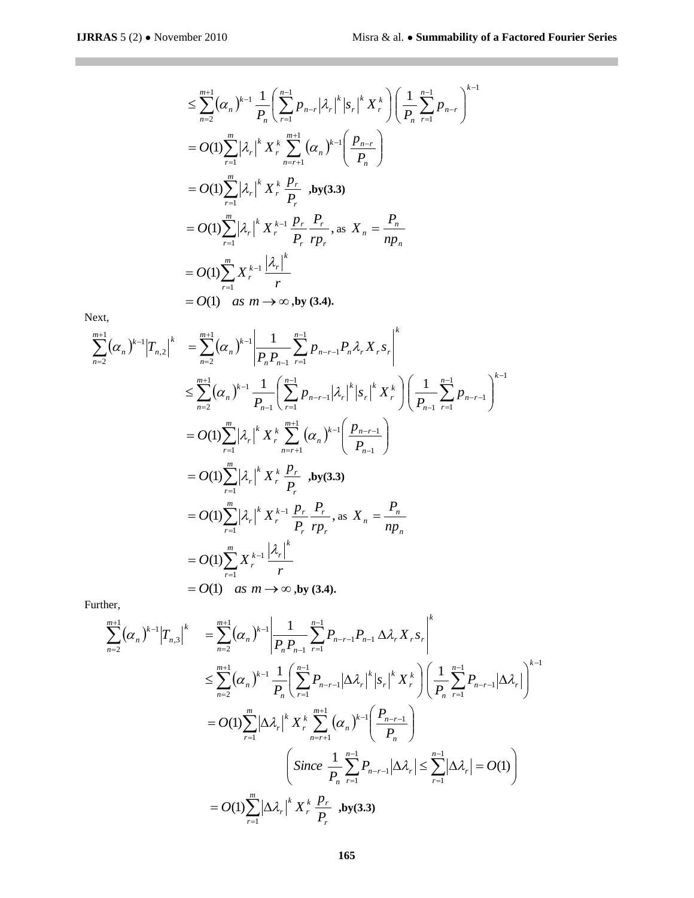$$
\leq \sum_{n=2}^{m+1} (\alpha_n)^{k-1} \frac{1}{P_n} \Biggl( \sum_{r=1}^{n-1} p_{n-r} |\lambda_r|^k |s_r|^k X_r^k \Biggr) \Biggl( \frac{1}{P_n} \sum_{r=1}^{n-1} p_{n-r} \Biggr)^{k-1}
$$
  
=  $O(1) \sum_{r=1}^{m} |\lambda_r|^k X_r^k \sum_{n=r+1}^{m+1} (\alpha_n)^{k-1} \Biggl( \frac{p_{n-r}}{P_n} \Biggr)$   
=  $O(1) \sum_{r=1}^{m} |\lambda_r|^k X_r^k \frac{p_r}{P_r}$ , by (3.3)  
=  $O(1) \sum_{r=1}^{m} |\lambda_r|^k X_r^{k-1} \frac{p_r}{P_r} \frac{P_r}{rp_r}$ , as  $X_n = \frac{P_n}{np_n}$   
=  $O(1) \sum_{r=1}^{m} X_r^{k-1} \frac{|\lambda_r|^k}{r}$   
=  $O(1)$  as  $m \to \infty$ , by (3.4).

Next,

 $\mathcal{L}^{\text{max}}_{\text{max}}$  , where  $\mathcal{L}^{\text{max}}_{\text{max}}$ 

$$
\sum_{n=2}^{m+1} (\alpha_n)^{k-1} |T_{n,2}|^k = \sum_{n=2}^{m+1} (\alpha_n)^{k-1} \left| \frac{1}{P_n P_{n-1}} \sum_{r=1}^{n-1} P_{n-r-1} P_n \lambda_r X_r s_r \right|^k
$$
  
\n
$$
\leq \sum_{n=2}^{m+1} (\alpha_n)^{k-1} \frac{1}{P_{n-1}} \left( \sum_{r=1}^{n-1} P_{n-r-1} |\lambda_r|^k |s_r|^k X_r^k \right) \left( \frac{1}{P_{n-1}} \sum_{r=1}^{n-1} P_{n-r-1} \right)^{k-1}
$$
  
\n
$$
= O(1) \sum_{r=1}^{m} |\lambda_r|^k X_r^k \sum_{n=r+1}^{m+1} (\alpha_n)^{k-1} \left( \frac{P_{n-r-1}}{P_{n-1}} \right)
$$
  
\n
$$
= O(1) \sum_{r=1}^{m} |\lambda_r|^k X_r^k \frac{P_r}{P_r} , \text{by (3.3)}
$$
  
\n
$$
= O(1) \sum_{r=1}^{m} |\lambda_r|^k X_r^{k-1} \frac{P_r}{P_r} \frac{P_r}{rp_r} , \text{as } X_n = \frac{P_n}{np_n}
$$
  
\n
$$
= O(1) \sum_{r=1}^{m} X_r^{k-1} \frac{|\lambda_r|^k}{r}
$$
  
\n
$$
= O(1) \text{ as } m \to \infty, \text{by (3.4)}.
$$

Further,

$$
\sum_{n=2}^{m+1} (\alpha_n)^{k-1} |T_{n,3}|^k = \sum_{n=2}^{m+1} (\alpha_n)^{k-1} \left| \frac{1}{P_n P_{n-1}} \sum_{r=1}^{n-1} P_{n-r-1} P_{n-1} \Delta \lambda_r X_r s_r \right|^k
$$
  

$$
\leq \sum_{n=2}^{m+1} (\alpha_n)^{k-1} \frac{1}{P_n} \left( \sum_{r=1}^{n-1} P_{n-r-1} |\Delta \lambda_r|^k |s_r|^k X_r^k \right) \left( \frac{1}{P_n} \sum_{r=1}^{n-1} P_{n-r-1} |\Delta \lambda_r| \right)^{k-1}
$$
  

$$
= O(1) \sum_{r=1}^{m} |\Delta \lambda_r|^k X_r^k \sum_{n=r+1}^{m+1} (\alpha_n)^{k-1} \left( \frac{P_{n-r-1}}{P_n} \right)
$$
  

$$
\left( \text{Since } \frac{1}{P_n} \sum_{r=1}^{n-1} P_{n-r-1} |\Delta \lambda_r| \leq \sum_{r=1}^{n-1} |\Delta \lambda_r| = O(1) \right)
$$
  

$$
= O(1) \sum_{r=1}^{m} |\Delta \lambda_r|^k X_r^k \frac{P_r}{P_r}, \text{by (3.3)}
$$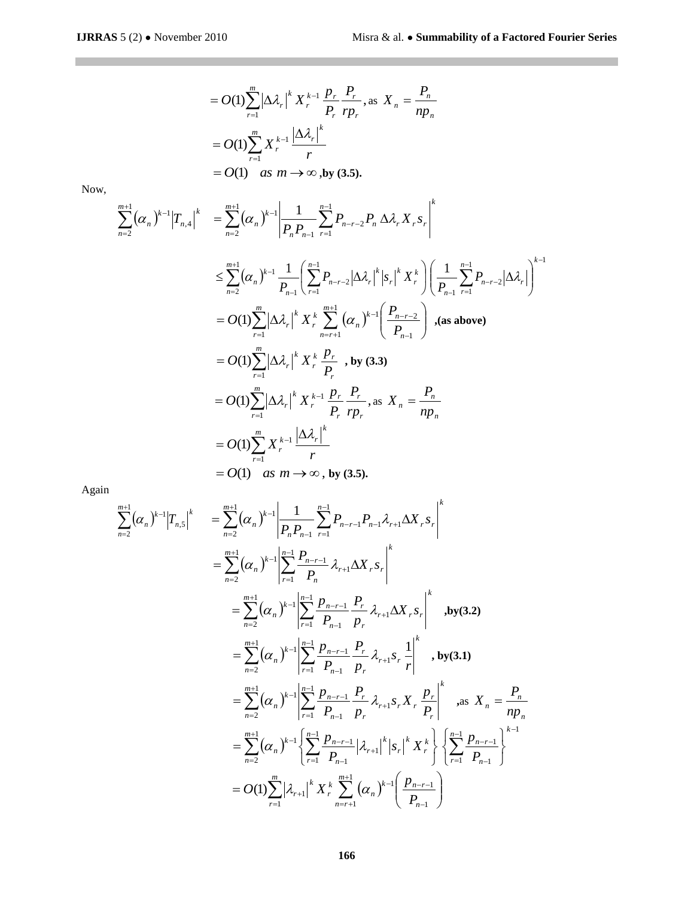$$
= O(1) \sum_{r=1}^{m} \left| \Delta \lambda_r \right|^k X_r^{k-1} \frac{p_r}{p_r} \frac{P_r}{rp_r}, \text{ as } X_n = \frac{P_n}{np_n}
$$

$$
= O(1) \sum_{r=1}^{m} X_r^{k-1} \frac{\left| \Delta \lambda_r \right|^k}{r}
$$

$$
= O(1) \quad \text{as } m \to \infty, \text{by (3.5).}
$$

Now,

$$
\sum_{n=2}^{m+1} (\alpha_n)^{k-1} |T_{n,4}|^{k} = \sum_{n=2}^{m+1} (\alpha_n)^{k-1} \left| \frac{1}{P_n P_{n-1}} \sum_{r=1}^{n-1} P_{n-r-2} P_n \Delta \lambda_r X_r s_r \right|^k
$$
  
\n
$$
\leq \sum_{n=2}^{m+1} (\alpha_n)^{k-1} \frac{1}{P_{n-1}} \left( \sum_{r=1}^{n-1} P_{n-r-2} |\Delta \lambda_r|^k |s_r|^k X_r^k \right) \left( \frac{1}{P_{n-1}} \sum_{r=1}^{n-1} P_{n-r-2} |\Delta \lambda_r| \right)^{k-1}
$$
  
\n
$$
= O(1) \sum_{r=1}^{m} |\Delta \lambda_r|^k X_r^k \sum_{n=r+1}^{m+1} (\alpha_n)^{k-1} \left( \frac{P_{n-r-2}}{P_{n-1}} \right), \text{ (as above)}
$$
  
\n
$$
= O(1) \sum_{r=1}^{m} |\Delta \lambda_r|^k X_r^k \frac{P_r}{P_r}, \text{ by (3.3)}
$$
  
\n
$$
= O(1) \sum_{r=1}^{m} |\Delta \lambda_r|^k X_r^{k-1} \frac{P_r}{P_r} \frac{P_r}{P_r}, \text{ as } X_n = \frac{P_n}{np_n}
$$
  
\n
$$
= O(1) \sum_{r=1}^{m} X_r^{k-1} \frac{|\Delta \lambda_r|^k}{r}
$$
  
\n
$$
= O(1) \text{ as } m \to \infty, \text{ by (3.5)}.
$$

Again

$$
\sum_{n=2}^{m+1} (\alpha_n)^{k-1} |T_{n,5}|^k = \sum_{n=2}^{m+1} (\alpha_n)^{k-1} \left| \frac{1}{P_n P_{n-1}} \sum_{r=1}^{n-1} P_{n-r-1} P_{n-1} \lambda_{r+1} \Delta X_r s_r \right|^k
$$
  
\n
$$
= \sum_{n=2}^{m+1} (\alpha_n)^{k-1} \left| \sum_{r=1}^{n-1} \frac{P_{n-r-1}}{P_n} \lambda_{r+1} \Delta X_r s_r \right|^k
$$
  
\n
$$
= \sum_{n=2}^{m+1} (\alpha_n)^{k-1} \left| \sum_{r=1}^{n-1} \frac{P_{n-r-1}}{P_{n-1}} \frac{P_r}{P_r} \lambda_{r+1} \Delta X_r s_r \right|^k \text{, by (3.2)}
$$
  
\n
$$
= \sum_{n=2}^{m+1} (\alpha_n)^{k-1} \left| \sum_{r=1}^{n-1} \frac{P_{n-r-1}}{P_{n-1}} \frac{P_r}{P_r} \lambda_{r+1} s_r \frac{1}{r} \right|^k \text{, by (3.1)}
$$
  
\n
$$
= \sum_{n=2}^{m+1} (\alpha_n)^{k-1} \left| \sum_{r=1}^{n-1} \frac{P_{n-r-1}}{P_{n-1}} \frac{P_r}{P_r} \lambda_{r+1} s_r X_r \frac{P_r}{P_r} \right|^k \text{, as } X_n = \frac{P_n}{np_n}
$$
  
\n
$$
= \sum_{n=2}^{m+1} (\alpha_n)^{k-1} \left\{ \sum_{r=1}^{n-1} \frac{P_{n-r-1}}{P_{n-1}} |\lambda_{r+1}|^k |s_r|^k X_r^k \right\} \left\{ \sum_{r=1}^{n-1} \frac{P_{n-r-1}}{P_{n-1}} \right\}^{k-1}
$$
  
\n
$$
= O(1) \sum_{r=1}^{m} |\lambda_{r+1}|^k X_r^k \sum_{n=r+1}^{m+1} (\alpha_n)^{k-1} \left( \frac{P_{n-r-1}}{P_{n-1}} \right)
$$